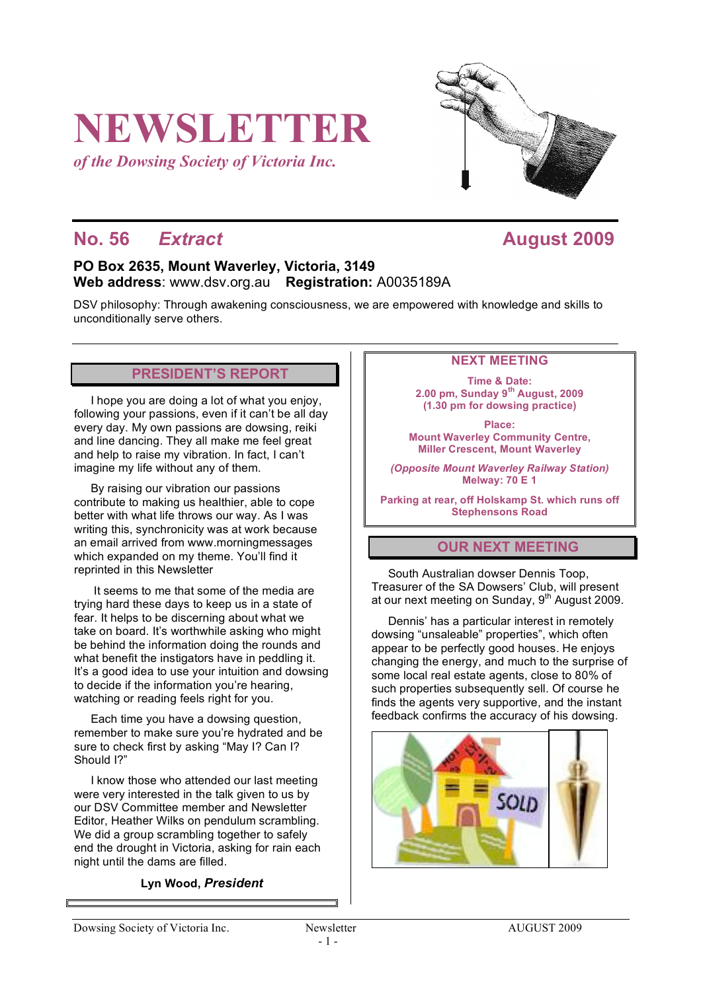# **NEWSLETTER**

*of the Dowsing Society of Victoria Inc.*



# **No. 56** *Extract* **August 2009**

# **PO Box 2635, Mount Waverley, Victoria, 3149 Web address**: www.dsv.org.au **Registration:** A0035189A

DSV philosophy: Through awakening consciousness, we are empowered with knowledge and skills to unconditionally serve others.

# **PRESIDENT'S REPORT**

I hope you are doing a lot of what you enjoy, following your passions, even if it can't be all day every day. My own passions are dowsing, reiki and line dancing. They all make me feel great and help to raise my vibration. In fact, I can't imagine my life without any of them.

By raising our vibration our passions contribute to making us healthier, able to cope better with what life throws our way. As I was writing this, synchronicity was at work because an email arrived from www.morningmessages which expanded on my theme. You'll find it reprinted in this Newsletter

It seems to me that some of the media are trying hard these days to keep us in a state of fear. It helps to be discerning about what we take on board. It's worthwhile asking who might be behind the information doing the rounds and what benefit the instigators have in peddling it. It's a good idea to use your intuition and dowsing to decide if the information you're hearing, watching or reading feels right for you.

Each time you have a dowsing question, remember to make sure you're hydrated and be sure to check first by asking "May I? Can I? Should I?"

I know those who attended our last meeting were very interested in the talk given to us by our DSV Committee member and Newsletter Editor, Heather Wilks on pendulum scrambling. We did a group scrambling together to safely end the drought in Victoria, asking for rain each night until the dams are filled.

**Lyn Wood,** *President*

# **NEXT MEETING**

**Time & Date: 2.00 pm, Sunday 9th August, 2009 (1.30 pm for dowsing practice)**

**Place: Mount Waverley Community Centre, Miller Crescent, Mount Waverley**

*(Opposite Mount Waverley Railway Station)* **Melway: 70 E 1**

**Parking at rear, off Holskamp St. which runs off Stephensons Road**

# **OUR NEXT MEETING**

South Australian dowser Dennis Toop, Treasurer of the SA Dowsers' Club, will present at our next meeting on Sunday, 9<sup>th</sup> August 2009.

Dennis' has a particular interest in remotely dowsing "unsaleable" properties", which often appear to be perfectly good houses. He enjoys changing the energy, and much to the surprise of some local real estate agents, close to 80% of such properties subsequently sell. Of course he finds the agents very supportive, and the instant feedback confirms the accuracy of his dowsing.

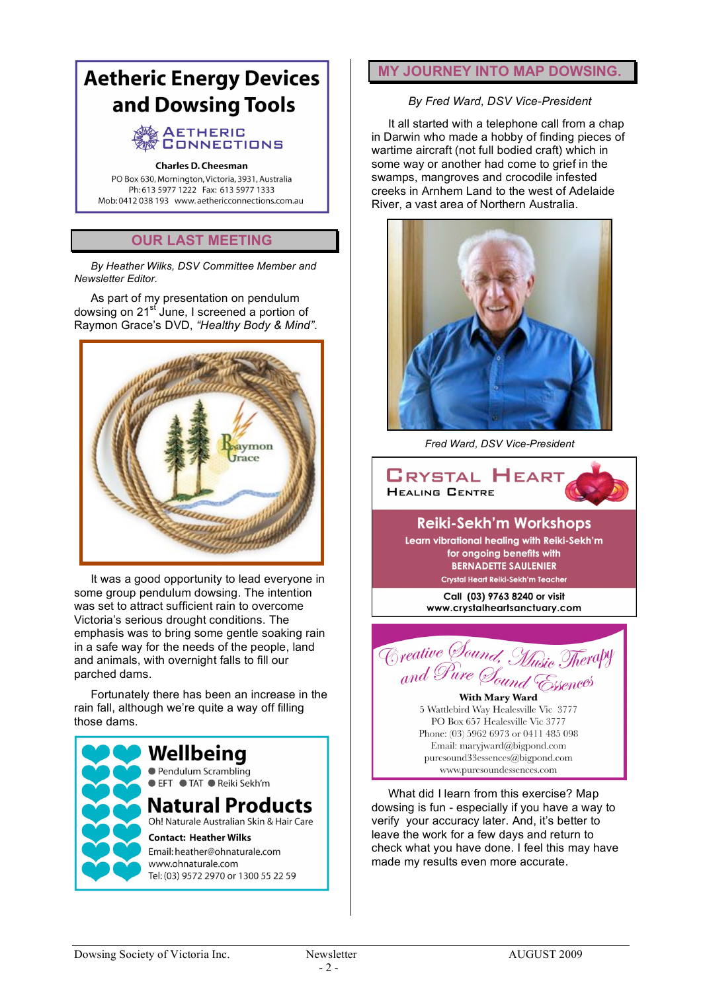# **Aetheric Energy Devices** and Dowsing Tools



**Charles D. Cheesman** PO Box 630, Mornington, Victoria, 3931, Australia Ph: 613 5977 1222 Fax: 613 5977 1333 Mob: 0412 038 193 www.aethericconnections.com.au

# **OUR LAST MEETING**

*By Heather Wilks, DSV Committee Member and Newsletter Editor.*

As part of my presentation on pendulum dowsing on 21<sup>st</sup> June, I screened a portion of Raymon Grace's DVD, *"Healthy Body & Mind"*.



It was a good opportunity to lead everyone in some group pendulum dowsing. The intention was set to attract sufficient rain to overcome Victoria's serious drought conditions. The emphasis was to bring some gentle soaking rain in a safe way for the needs of the people, land and animals, with overnight falls to fill our parched dams.

Fortunately there has been an increase in the rain fall, although we're quite a way off filling those dams.



# **MY JOURNEY INTO MAP DOWSING.**

*By Fred Ward, DSV Vice-President*

It all started with a telephone call from a chap in Darwin who made a hobby of finding pieces of wartime aircraft (not full bodied craft) which in some way or another had come to grief in the swamps, mangroves and crocodile infested creeks in Arnhem Land to the west of Adelaide River, a vast area of Northern Australia.



*Fred Ward, DSV Vice-President*



# **Reiki-Sekh'm Workshops**

Learn vibrational healing with Reiki-Sekh'm for ongoing benefits with **BERNADETTE SAULENIER** Crystal Heart Reiki-Sekh'm Teacher

> Call (03) 9763 8240 or visit www.crystalheartsanctuary.com



5 Wattlebird Way Healesville Vic 3777 PO Box 657 Healesville Vic 3777 Phone: (03) 5962 6973 or 0411 485 098 Email: maryjward@bigpond.com puresound33essences@bigpond.com www.puresoundessences.com

What did I learn from this exercise? Map dowsing is fun - especially if you have a way to verify your accuracy later. And, it's better to leave the work for a few days and return to check what you have done. I feel this may have made my results even more accurate.